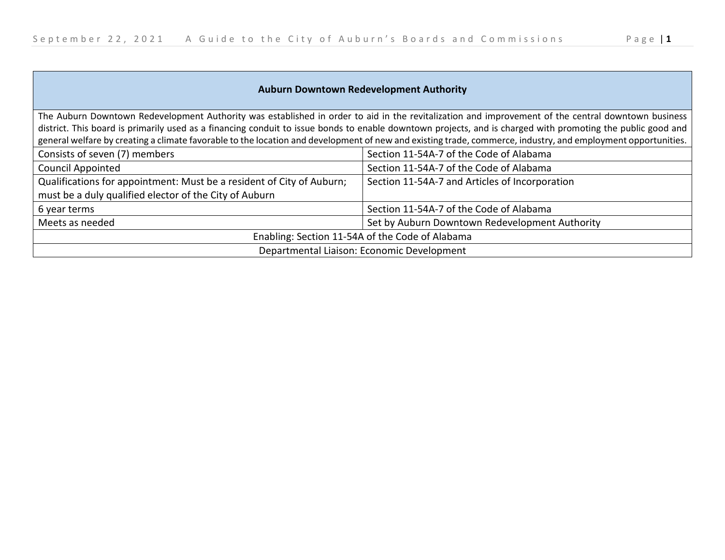| <b>Auburn Downtown Redevelopment Authority</b>                                                                                                                                                                                                                                                                    |                                                |
|-------------------------------------------------------------------------------------------------------------------------------------------------------------------------------------------------------------------------------------------------------------------------------------------------------------------|------------------------------------------------|
| The Auburn Downtown Redevelopment Authority was established in order to aid in the revitalization and improvement of the central downtown business<br>district. This board is primarily used as a financing conduit to issue bonds to enable downtown projects, and is charged with promoting the public good and |                                                |
| general welfare by creating a climate favorable to the location and development of new and existing trade, commerce, industry, and employment opportunities.                                                                                                                                                      |                                                |
| Consists of seven (7) members                                                                                                                                                                                                                                                                                     | Section 11-54A-7 of the Code of Alabama        |
| Council Appointed                                                                                                                                                                                                                                                                                                 | Section 11-54A-7 of the Code of Alabama        |
| Qualifications for appointment: Must be a resident of City of Auburn;<br>must be a duly qualified elector of the City of Auburn                                                                                                                                                                                   | Section 11-54A-7 and Articles of Incorporation |
| 6 year terms                                                                                                                                                                                                                                                                                                      | Section 11-54A-7 of the Code of Alabama        |
| Meets as needed                                                                                                                                                                                                                                                                                                   | Set by Auburn Downtown Redevelopment Authority |
| Enabling: Section 11-54A of the Code of Alabama                                                                                                                                                                                                                                                                   |                                                |
| Departmental Liaison: Economic Development                                                                                                                                                                                                                                                                        |                                                |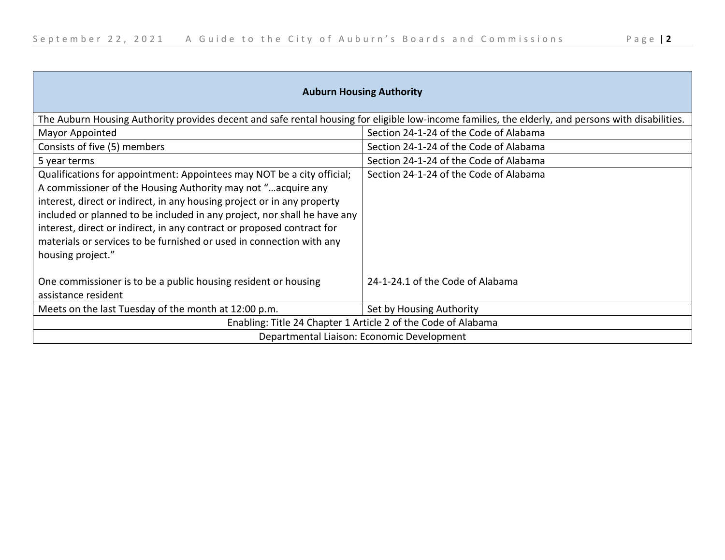| <b>Auburn Housing Authority</b>                                                                                                                                                                                                                                                                                                                                                                                                                                      |                                        |
|----------------------------------------------------------------------------------------------------------------------------------------------------------------------------------------------------------------------------------------------------------------------------------------------------------------------------------------------------------------------------------------------------------------------------------------------------------------------|----------------------------------------|
| The Auburn Housing Authority provides decent and safe rental housing for eligible low-income families, the elderly, and persons with disabilities.                                                                                                                                                                                                                                                                                                                   |                                        |
| Mayor Appointed                                                                                                                                                                                                                                                                                                                                                                                                                                                      | Section 24-1-24 of the Code of Alabama |
| Consists of five (5) members                                                                                                                                                                                                                                                                                                                                                                                                                                         | Section 24-1-24 of the Code of Alabama |
| 5 year terms                                                                                                                                                                                                                                                                                                                                                                                                                                                         | Section 24-1-24 of the Code of Alabama |
| Qualifications for appointment: Appointees may NOT be a city official;<br>A commissioner of the Housing Authority may not "acquire any<br>interest, direct or indirect, in any housing project or in any property<br>included or planned to be included in any project, nor shall he have any<br>interest, direct or indirect, in any contract or proposed contract for<br>materials or services to be furnished or used in connection with any<br>housing project." | Section 24-1-24 of the Code of Alabama |
| One commissioner is to be a public housing resident or housing<br>assistance resident                                                                                                                                                                                                                                                                                                                                                                                | 24-1-24.1 of the Code of Alabama       |
| Meets on the last Tuesday of the month at 12:00 p.m.                                                                                                                                                                                                                                                                                                                                                                                                                 | Set by Housing Authority               |
| Enabling: Title 24 Chapter 1 Article 2 of the Code of Alabama                                                                                                                                                                                                                                                                                                                                                                                                        |                                        |
| Departmental Liaison: Economic Development                                                                                                                                                                                                                                                                                                                                                                                                                           |                                        |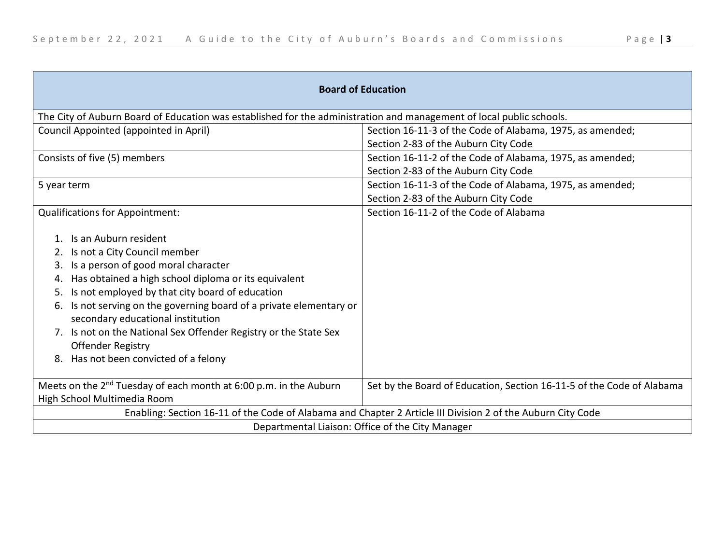| <b>Board of Education</b>                                                                                                                                                                                                                                                                                                                                                                                                                                                               |                                                                       |
|-----------------------------------------------------------------------------------------------------------------------------------------------------------------------------------------------------------------------------------------------------------------------------------------------------------------------------------------------------------------------------------------------------------------------------------------------------------------------------------------|-----------------------------------------------------------------------|
| The City of Auburn Board of Education was established for the administration and management of local public schools.                                                                                                                                                                                                                                                                                                                                                                    |                                                                       |
| Council Appointed (appointed in April)                                                                                                                                                                                                                                                                                                                                                                                                                                                  | Section 16-11-3 of the Code of Alabama, 1975, as amended;             |
|                                                                                                                                                                                                                                                                                                                                                                                                                                                                                         | Section 2-83 of the Auburn City Code                                  |
| Consists of five (5) members                                                                                                                                                                                                                                                                                                                                                                                                                                                            | Section 16-11-2 of the Code of Alabama, 1975, as amended;             |
|                                                                                                                                                                                                                                                                                                                                                                                                                                                                                         | Section 2-83 of the Auburn City Code                                  |
| 5 year term                                                                                                                                                                                                                                                                                                                                                                                                                                                                             | Section 16-11-3 of the Code of Alabama, 1975, as amended;             |
|                                                                                                                                                                                                                                                                                                                                                                                                                                                                                         | Section 2-83 of the Auburn City Code                                  |
| <b>Qualifications for Appointment:</b>                                                                                                                                                                                                                                                                                                                                                                                                                                                  | Section 16-11-2 of the Code of Alabama                                |
| 1. Is an Auburn resident<br>2. Is not a City Council member<br>Is a person of good moral character<br>3.<br>Has obtained a high school diploma or its equivalent<br>4.<br>Is not employed by that city board of education<br>5.<br>Is not serving on the governing board of a private elementary or<br>6.<br>secondary educational institution<br>7. Is not on the National Sex Offender Registry or the State Sex<br><b>Offender Registry</b><br>8. Has not been convicted of a felony |                                                                       |
| Meets on the 2 <sup>nd</sup> Tuesday of each month at 6:00 p.m. in the Auburn                                                                                                                                                                                                                                                                                                                                                                                                           | Set by the Board of Education, Section 16-11-5 of the Code of Alabama |
| High School Multimedia Room                                                                                                                                                                                                                                                                                                                                                                                                                                                             |                                                                       |
| Enabling: Section 16-11 of the Code of Alabama and Chapter 2 Article III Division 2 of the Auburn City Code                                                                                                                                                                                                                                                                                                                                                                             |                                                                       |
| Departmental Liaison: Office of the City Manager                                                                                                                                                                                                                                                                                                                                                                                                                                        |                                                                       |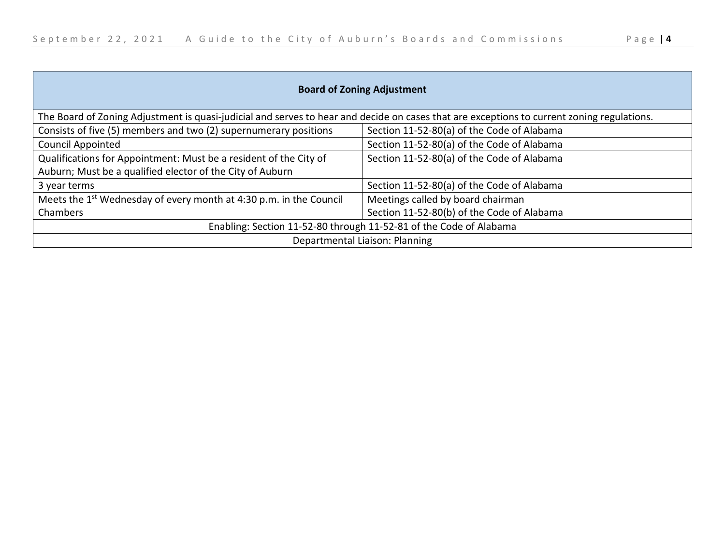| <b>Board of Zoning Adjustment</b>                                                                                                          |                                            |  |
|--------------------------------------------------------------------------------------------------------------------------------------------|--------------------------------------------|--|
| The Board of Zoning Adjustment is quasi-judicial and serves to hear and decide on cases that are exceptions to current zoning regulations. |                                            |  |
| Consists of five (5) members and two (2) supernumerary positions                                                                           | Section 11-52-80(a) of the Code of Alabama |  |
| <b>Council Appointed</b>                                                                                                                   | Section 11-52-80(a) of the Code of Alabama |  |
| Qualifications for Appointment: Must be a resident of the City of                                                                          | Section 11-52-80(a) of the Code of Alabama |  |
| Auburn; Must be a qualified elector of the City of Auburn                                                                                  |                                            |  |
| 3 year terms                                                                                                                               | Section 11-52-80(a) of the Code of Alabama |  |
| Meets the 1 <sup>st</sup> Wednesday of every month at 4:30 p.m. in the Council                                                             | Meetings called by board chairman          |  |
| Chambers                                                                                                                                   | Section 11-52-80(b) of the Code of Alabama |  |
| Enabling: Section 11-52-80 through 11-52-81 of the Code of Alabama                                                                         |                                            |  |
| Departmental Liaison: Planning                                                                                                             |                                            |  |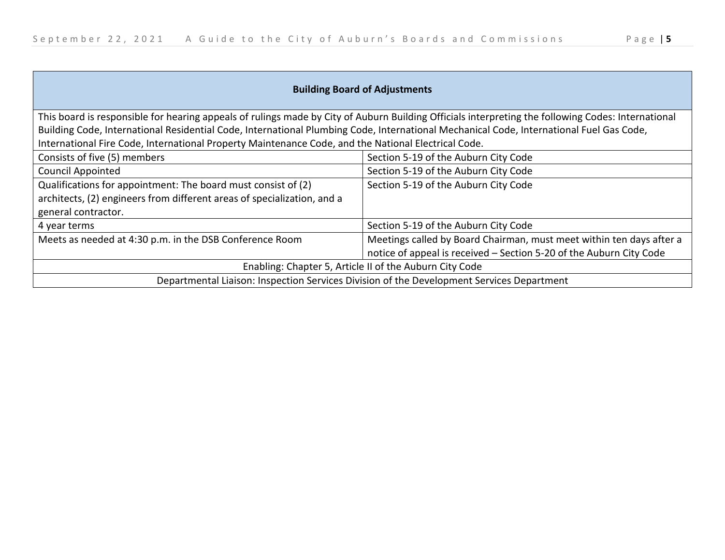| <b>Building Board of Adjustments</b>                                                                                                                                                                                                                                                                                                                                                                 |                                                                                                                                             |
|------------------------------------------------------------------------------------------------------------------------------------------------------------------------------------------------------------------------------------------------------------------------------------------------------------------------------------------------------------------------------------------------------|---------------------------------------------------------------------------------------------------------------------------------------------|
| This board is responsible for hearing appeals of rulings made by City of Auburn Building Officials interpreting the following Codes: International<br>Building Code, International Residential Code, International Plumbing Code, International Mechanical Code, International Fuel Gas Code,<br>International Fire Code, International Property Maintenance Code, and the National Electrical Code. |                                                                                                                                             |
| Consists of five (5) members                                                                                                                                                                                                                                                                                                                                                                         | Section 5-19 of the Auburn City Code                                                                                                        |
| <b>Council Appointed</b>                                                                                                                                                                                                                                                                                                                                                                             | Section 5-19 of the Auburn City Code                                                                                                        |
| Qualifications for appointment: The board must consist of (2)<br>architects, (2) engineers from different areas of specialization, and a<br>general contractor.                                                                                                                                                                                                                                      | Section 5-19 of the Auburn City Code                                                                                                        |
| 4 year terms                                                                                                                                                                                                                                                                                                                                                                                         | Section 5-19 of the Auburn City Code                                                                                                        |
| Meets as needed at 4:30 p.m. in the DSB Conference Room                                                                                                                                                                                                                                                                                                                                              | Meetings called by Board Chairman, must meet within ten days after a<br>notice of appeal is received - Section 5-20 of the Auburn City Code |
| Enabling: Chapter 5, Article II of the Auburn City Code                                                                                                                                                                                                                                                                                                                                              |                                                                                                                                             |
| Departmental Liaison: Inspection Services Division of the Development Services Department                                                                                                                                                                                                                                                                                                            |                                                                                                                                             |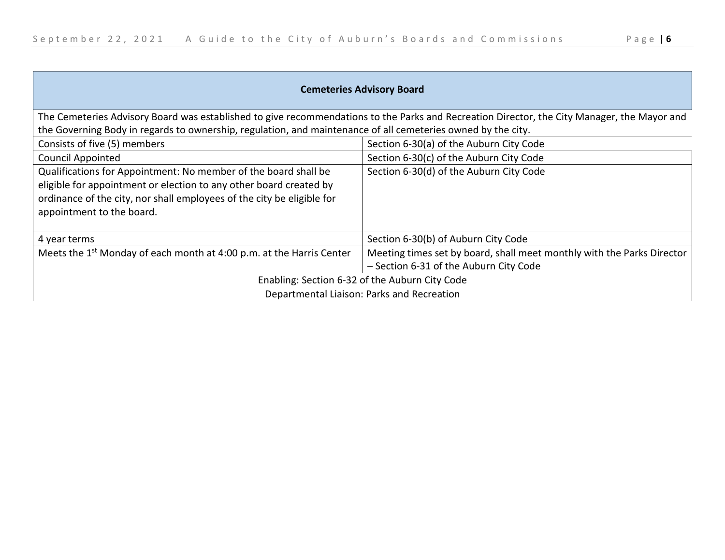$\sim$ 

| <b>Cemeteries Advisory Board</b>                                                                                                                                                                                                             |                                                                        |  |
|----------------------------------------------------------------------------------------------------------------------------------------------------------------------------------------------------------------------------------------------|------------------------------------------------------------------------|--|
| The Cemeteries Advisory Board was established to give recommendations to the Parks and Recreation Director, the City Manager, the Mayor and                                                                                                  |                                                                        |  |
| the Governing Body in regards to ownership, regulation, and maintenance of all cemeteries owned by the city.                                                                                                                                 |                                                                        |  |
| Consists of five (5) members                                                                                                                                                                                                                 | Section 6-30(a) of the Auburn City Code                                |  |
| <b>Council Appointed</b>                                                                                                                                                                                                                     | Section 6-30(c) of the Auburn City Code                                |  |
| Qualifications for Appointment: No member of the board shall be<br>eligible for appointment or election to any other board created by<br>ordinance of the city, nor shall employees of the city be eligible for<br>appointment to the board. | Section 6-30(d) of the Auburn City Code                                |  |
| 4 year terms                                                                                                                                                                                                                                 | Section 6-30(b) of Auburn City Code                                    |  |
| Meets the 1 <sup>st</sup> Monday of each month at 4:00 p.m. at the Harris Center                                                                                                                                                             | Meeting times set by board, shall meet monthly with the Parks Director |  |
|                                                                                                                                                                                                                                              | - Section 6-31 of the Auburn City Code                                 |  |
| Enabling: Section 6-32 of the Auburn City Code                                                                                                                                                                                               |                                                                        |  |
| Departmental Liaison: Parks and Recreation                                                                                                                                                                                                   |                                                                        |  |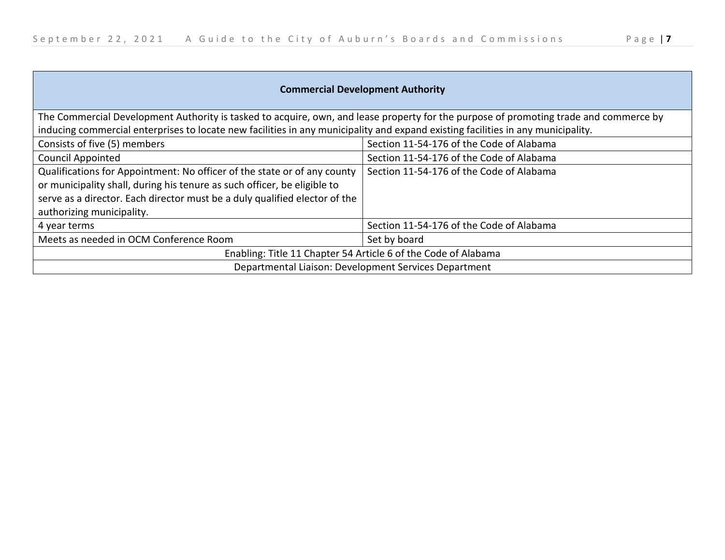| <b>Commercial Development Authority</b>                                                                                                              |                                          |
|------------------------------------------------------------------------------------------------------------------------------------------------------|------------------------------------------|
| The Commercial Development Authority is tasked to acquire, own, and lease property for the purpose of promoting trade and commerce by                |                                          |
| inducing commercial enterprises to locate new facilities in any municipality and expand existing facilities in any municipality.                     |                                          |
| Consists of five (5) members                                                                                                                         | Section 11-54-176 of the Code of Alabama |
| <b>Council Appointed</b>                                                                                                                             | Section 11-54-176 of the Code of Alabama |
| Qualifications for Appointment: No officer of the state or of any county<br>or municipality shall, during his tenure as such officer, be eligible to | Section 11-54-176 of the Code of Alabama |
| serve as a director. Each director must be a duly qualified elector of the                                                                           |                                          |
| authorizing municipality.                                                                                                                            |                                          |
| 4 year terms                                                                                                                                         | Section 11-54-176 of the Code of Alabama |
| Meets as needed in OCM Conference Room                                                                                                               | Set by board                             |
| Enabling: Title 11 Chapter 54 Article 6 of the Code of Alabama                                                                                       |                                          |
| Departmental Liaison: Development Services Department                                                                                                |                                          |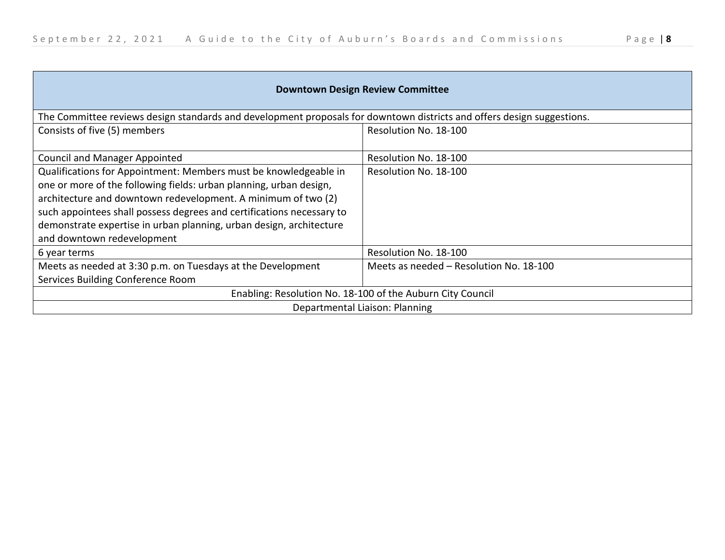| <b>Downtown Design Review Committee</b>                                                                                                                                                                                                                                                                                                                                               |                                         |  |
|---------------------------------------------------------------------------------------------------------------------------------------------------------------------------------------------------------------------------------------------------------------------------------------------------------------------------------------------------------------------------------------|-----------------------------------------|--|
| The Committee reviews design standards and development proposals for downtown districts and offers design suggestions.                                                                                                                                                                                                                                                                |                                         |  |
| Consists of five (5) members                                                                                                                                                                                                                                                                                                                                                          | Resolution No. 18-100                   |  |
| <b>Council and Manager Appointed</b>                                                                                                                                                                                                                                                                                                                                                  | Resolution No. 18-100                   |  |
| Qualifications for Appointment: Members must be knowledgeable in<br>one or more of the following fields: urban planning, urban design,<br>architecture and downtown redevelopment. A minimum of two (2)<br>such appointees shall possess degrees and certifications necessary to<br>demonstrate expertise in urban planning, urban design, architecture<br>and downtown redevelopment | Resolution No. 18-100                   |  |
| 6 year terms                                                                                                                                                                                                                                                                                                                                                                          | Resolution No. 18-100                   |  |
| Meets as needed at 3:30 p.m. on Tuesdays at the Development<br>Services Building Conference Room                                                                                                                                                                                                                                                                                      | Meets as needed - Resolution No. 18-100 |  |
| Enabling: Resolution No. 18-100 of the Auburn City Council                                                                                                                                                                                                                                                                                                                            |                                         |  |
| Departmental Liaison: Planning                                                                                                                                                                                                                                                                                                                                                        |                                         |  |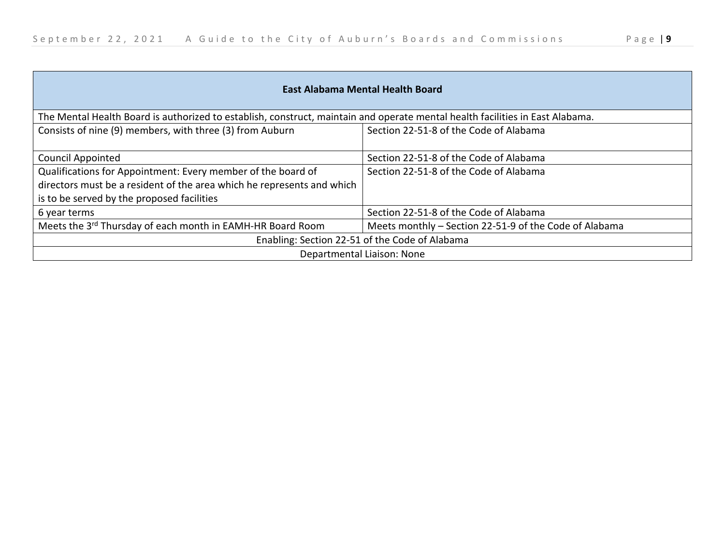| East Alabama Mental Health Board                                                                                              |                                                        |
|-------------------------------------------------------------------------------------------------------------------------------|--------------------------------------------------------|
| The Mental Health Board is authorized to establish, construct, maintain and operate mental health facilities in East Alabama. |                                                        |
| Consists of nine (9) members, with three (3) from Auburn                                                                      | Section 22-51-8 of the Code of Alabama                 |
|                                                                                                                               |                                                        |
| <b>Council Appointed</b>                                                                                                      | Section 22-51-8 of the Code of Alabama                 |
| Qualifications for Appointment: Every member of the board of                                                                  | Section 22-51-8 of the Code of Alabama                 |
| directors must be a resident of the area which he represents and which                                                        |                                                        |
| is to be served by the proposed facilities                                                                                    |                                                        |
| 6 year terms                                                                                                                  | Section 22-51-8 of the Code of Alabama                 |
| Meets the 3 <sup>rd</sup> Thursday of each month in EAMH-HR Board Room                                                        | Meets monthly - Section 22-51-9 of the Code of Alabama |
| Enabling: Section 22-51 of the Code of Alabama                                                                                |                                                        |
| Departmental Liaison: None                                                                                                    |                                                        |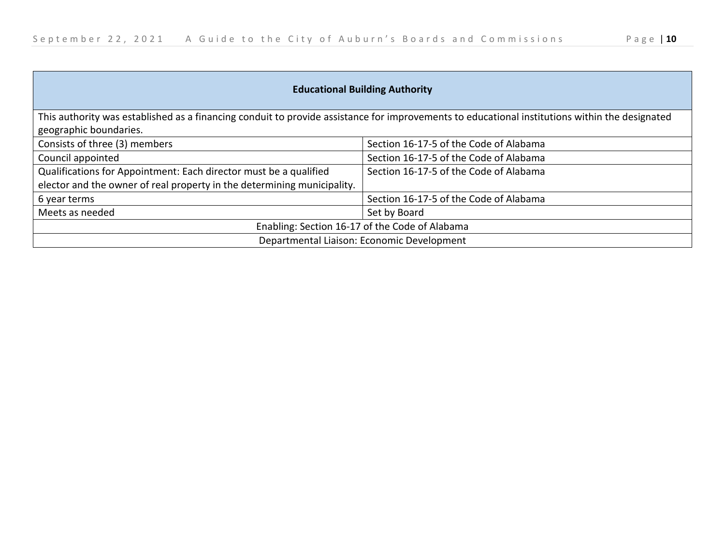$\mathcal{L}$ 

| <b>Educational Building Authority</b>                                                                                                          |                                        |
|------------------------------------------------------------------------------------------------------------------------------------------------|----------------------------------------|
| This authority was established as a financing conduit to provide assistance for improvements to educational institutions within the designated |                                        |
| geographic boundaries.                                                                                                                         |                                        |
| Consists of three (3) members                                                                                                                  | Section 16-17-5 of the Code of Alabama |
| Council appointed                                                                                                                              | Section 16-17-5 of the Code of Alabama |
| Qualifications for Appointment: Each director must be a qualified                                                                              | Section 16-17-5 of the Code of Alabama |
| elector and the owner of real property in the determining municipality.                                                                        |                                        |
| 6 year terms                                                                                                                                   | Section 16-17-5 of the Code of Alabama |
| Meets as needed                                                                                                                                | Set by Board                           |
| Enabling: Section 16-17 of the Code of Alabama                                                                                                 |                                        |
| Departmental Liaison: Economic Development                                                                                                     |                                        |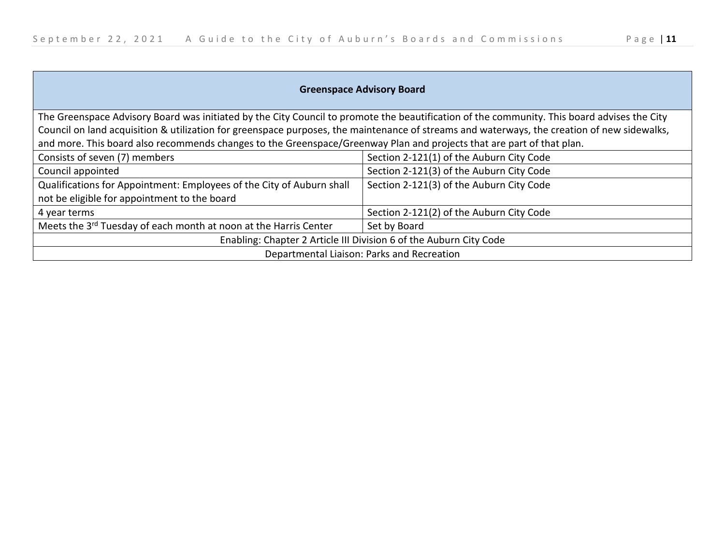| <b>Greenspace Advisory Board</b>                                                                                                            |                                          |
|---------------------------------------------------------------------------------------------------------------------------------------------|------------------------------------------|
| The Greenspace Advisory Board was initiated by the City Council to promote the beautification of the community. This board advises the City |                                          |
| Council on land acquisition & utilization for greenspace purposes, the maintenance of streams and waterways, the creation of new sidewalks, |                                          |
| and more. This board also recommends changes to the Greenspace/Greenway Plan and projects that are part of that plan.                       |                                          |
| Consists of seven (7) members                                                                                                               | Section 2-121(1) of the Auburn City Code |
| Council appointed                                                                                                                           | Section 2-121(3) of the Auburn City Code |
| Qualifications for Appointment: Employees of the City of Auburn shall                                                                       | Section 2-121(3) of the Auburn City Code |
| not be eligible for appointment to the board                                                                                                |                                          |
| 4 year terms                                                                                                                                | Section 2-121(2) of the Auburn City Code |
| Meets the 3 <sup>rd</sup> Tuesday of each month at noon at the Harris Center                                                                | Set by Board                             |
| Enabling: Chapter 2 Article III Division 6 of the Auburn City Code                                                                          |                                          |
| Departmental Liaison: Parks and Recreation                                                                                                  |                                          |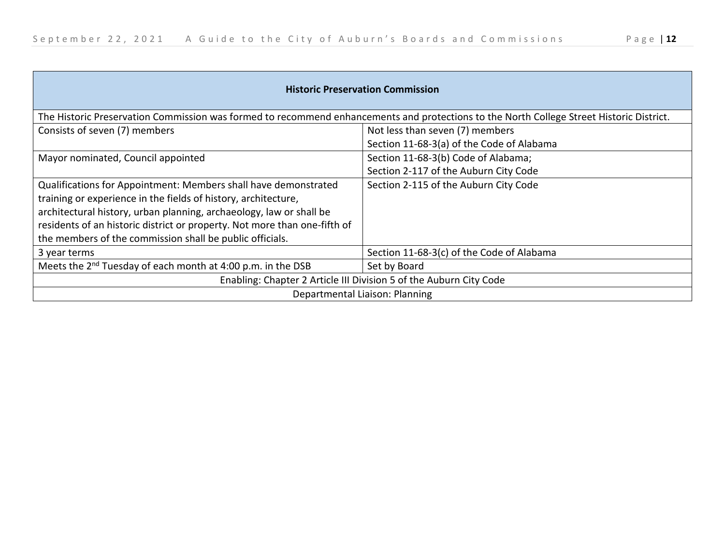| <b>Historic Preservation Commission</b>                                                                                                  |                                           |
|------------------------------------------------------------------------------------------------------------------------------------------|-------------------------------------------|
| The Historic Preservation Commission was formed to recommend enhancements and protections to the North College Street Historic District. |                                           |
| Consists of seven (7) members                                                                                                            | Not less than seven (7) members           |
|                                                                                                                                          | Section 11-68-3(a) of the Code of Alabama |
| Mayor nominated, Council appointed                                                                                                       | Section 11-68-3(b) Code of Alabama;       |
|                                                                                                                                          | Section 2-117 of the Auburn City Code     |
| Qualifications for Appointment: Members shall have demonstrated                                                                          | Section 2-115 of the Auburn City Code     |
| training or experience in the fields of history, architecture,                                                                           |                                           |
| architectural history, urban planning, archaeology, law or shall be                                                                      |                                           |
| residents of an historic district or property. Not more than one-fifth of                                                                |                                           |
| the members of the commission shall be public officials.                                                                                 |                                           |
| 3 year terms                                                                                                                             | Section 11-68-3(c) of the Code of Alabama |
| Meets the 2 <sup>nd</sup> Tuesday of each month at 4:00 p.m. in the DSB                                                                  | Set by Board                              |
| Enabling: Chapter 2 Article III Division 5 of the Auburn City Code                                                                       |                                           |
| Departmental Liaison: Planning                                                                                                           |                                           |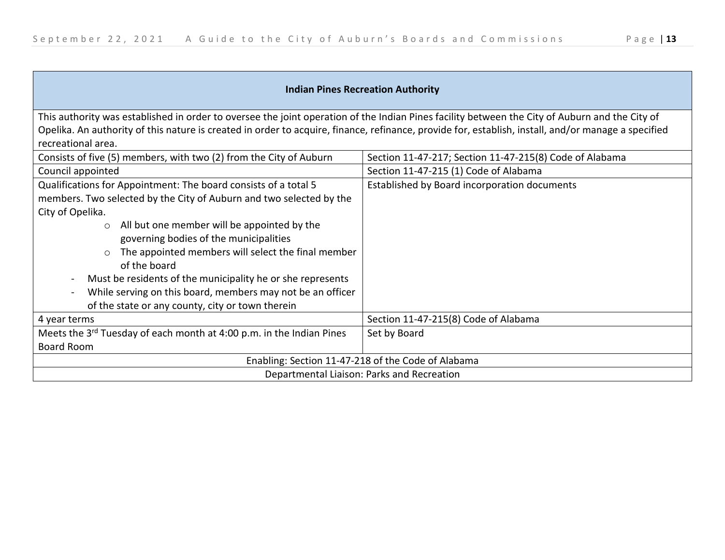$\overline{\phantom{a}}$ 

| <b>Indian Pines Recreation Authority</b>                                                                                                            |                                                         |
|-----------------------------------------------------------------------------------------------------------------------------------------------------|---------------------------------------------------------|
| This authority was established in order to oversee the joint operation of the Indian Pines facility between the City of Auburn and the City of      |                                                         |
| Opelika. An authority of this nature is created in order to acquire, finance, refinance, provide for, establish, install, and/or manage a specified |                                                         |
| recreational area.                                                                                                                                  |                                                         |
| Consists of five (5) members, with two (2) from the City of Auburn                                                                                  | Section 11-47-217; Section 11-47-215(8) Code of Alabama |
| Council appointed                                                                                                                                   | Section 11-47-215 (1) Code of Alabama                   |
| Qualifications for Appointment: The board consists of a total 5                                                                                     | Established by Board incorporation documents            |
| members. Two selected by the City of Auburn and two selected by the                                                                                 |                                                         |
| City of Opelika.                                                                                                                                    |                                                         |
| All but one member will be appointed by the<br>$\circ$                                                                                              |                                                         |
| governing bodies of the municipalities                                                                                                              |                                                         |
| The appointed members will select the final member<br>$\circ$                                                                                       |                                                         |
| of the board                                                                                                                                        |                                                         |
| Must be residents of the municipality he or she represents<br>$\blacksquare$                                                                        |                                                         |
| While serving on this board, members may not be an officer<br>$\overline{\phantom{a}}$                                                              |                                                         |
| of the state or any county, city or town therein                                                                                                    |                                                         |
| 4 year terms                                                                                                                                        | Section 11-47-215(8) Code of Alabama                    |
| Meets the 3 <sup>rd</sup> Tuesday of each month at 4:00 p.m. in the Indian Pines                                                                    | Set by Board                                            |
| <b>Board Room</b>                                                                                                                                   |                                                         |
| Enabling: Section 11-47-218 of the Code of Alabama                                                                                                  |                                                         |
| Departmental Liaison: Parks and Recreation                                                                                                          |                                                         |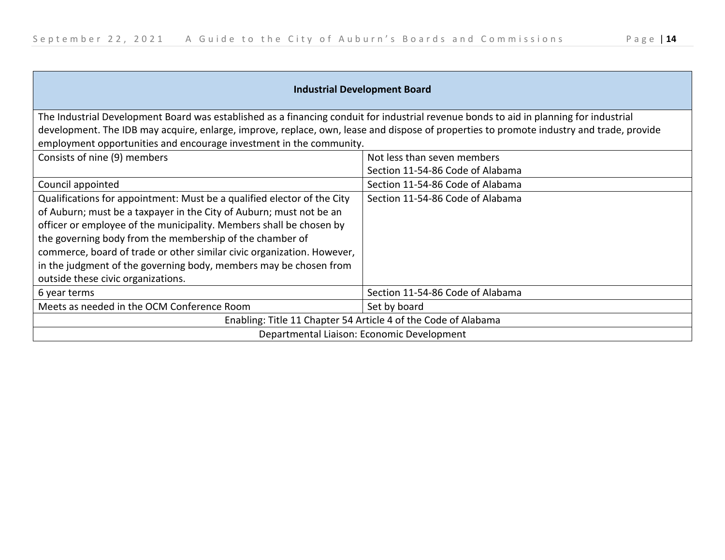| <b>Industrial Development Board</b>                                                                                                                                                                                                                                                                                                                                                                                                                                    |                                  |
|------------------------------------------------------------------------------------------------------------------------------------------------------------------------------------------------------------------------------------------------------------------------------------------------------------------------------------------------------------------------------------------------------------------------------------------------------------------------|----------------------------------|
| The Industrial Development Board was established as a financing conduit for industrial revenue bonds to aid in planning for industrial                                                                                                                                                                                                                                                                                                                                 |                                  |
| development. The IDB may acquire, enlarge, improve, replace, own, lease and dispose of properties to promote industry and trade, provide                                                                                                                                                                                                                                                                                                                               |                                  |
| employment opportunities and encourage investment in the community.                                                                                                                                                                                                                                                                                                                                                                                                    |                                  |
| Consists of nine (9) members                                                                                                                                                                                                                                                                                                                                                                                                                                           | Not less than seven members      |
|                                                                                                                                                                                                                                                                                                                                                                                                                                                                        | Section 11-54-86 Code of Alabama |
| Council appointed                                                                                                                                                                                                                                                                                                                                                                                                                                                      | Section 11-54-86 Code of Alabama |
| Qualifications for appointment: Must be a qualified elector of the City<br>of Auburn; must be a taxpayer in the City of Auburn; must not be an<br>officer or employee of the municipality. Members shall be chosen by<br>the governing body from the membership of the chamber of<br>commerce, board of trade or other similar civic organization. However,<br>in the judgment of the governing body, members may be chosen from<br>outside these civic organizations. | Section 11-54-86 Code of Alabama |
| 6 year terms                                                                                                                                                                                                                                                                                                                                                                                                                                                           | Section 11-54-86 Code of Alabama |
| Meets as needed in the OCM Conference Room                                                                                                                                                                                                                                                                                                                                                                                                                             | Set by board                     |
| Enabling: Title 11 Chapter 54 Article 4 of the Code of Alabama                                                                                                                                                                                                                                                                                                                                                                                                         |                                  |

Departmental Liaison: Economic Development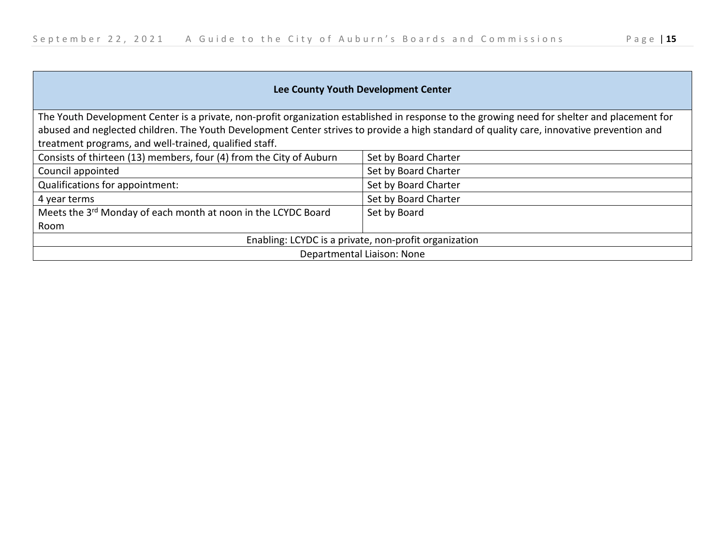| Lee County Youth Development Center                                                                                                          |                      |
|----------------------------------------------------------------------------------------------------------------------------------------------|----------------------|
| The Youth Development Center is a private, non-profit organization established in response to the growing need for shelter and placement for |                      |
| abused and neglected children. The Youth Development Center strives to provide a high standard of quality care, innovative prevention and    |                      |
| treatment programs, and well-trained, qualified staff.                                                                                       |                      |
| Consists of thirteen (13) members, four (4) from the City of Auburn                                                                          | Set by Board Charter |
| Council appointed                                                                                                                            | Set by Board Charter |
| Qualifications for appointment:                                                                                                              | Set by Board Charter |
| 4 year terms                                                                                                                                 | Set by Board Charter |
| Meets the 3 <sup>rd</sup> Monday of each month at noon in the LCYDC Board                                                                    | Set by Board         |
| Room                                                                                                                                         |                      |
| Enabling: LCYDC is a private, non-profit organization                                                                                        |                      |
| Departmental Liaison: None                                                                                                                   |                      |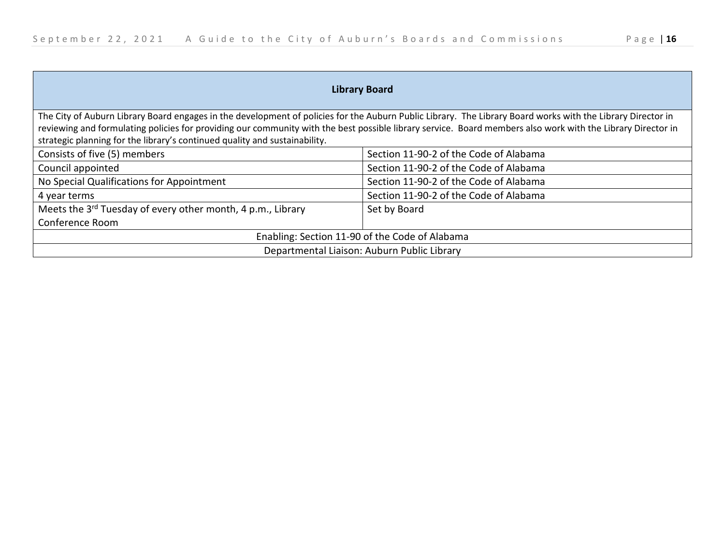| <b>Library Board</b>                                                                                                                                        |                                        |
|-------------------------------------------------------------------------------------------------------------------------------------------------------------|----------------------------------------|
| The City of Auburn Library Board engages in the development of policies for the Auburn Public Library. The Library Board works with the Library Director in |                                        |
| reviewing and formulating policies for providing our community with the best possible library service. Board members also work with the Library Director in |                                        |
| strategic planning for the library's continued quality and sustainability.                                                                                  |                                        |
| Consists of five (5) members                                                                                                                                | Section 11-90-2 of the Code of Alabama |
| Council appointed                                                                                                                                           | Section 11-90-2 of the Code of Alabama |
| No Special Qualifications for Appointment                                                                                                                   | Section 11-90-2 of the Code of Alabama |
| 4 year terms                                                                                                                                                | Section 11-90-2 of the Code of Alabama |
| Meets the 3 <sup>rd</sup> Tuesday of every other month, 4 p.m., Library                                                                                     | Set by Board                           |
| Conference Room                                                                                                                                             |                                        |
| Enabling: Section 11-90 of the Code of Alabama                                                                                                              |                                        |
| Departmental Liaison: Auburn Public Library                                                                                                                 |                                        |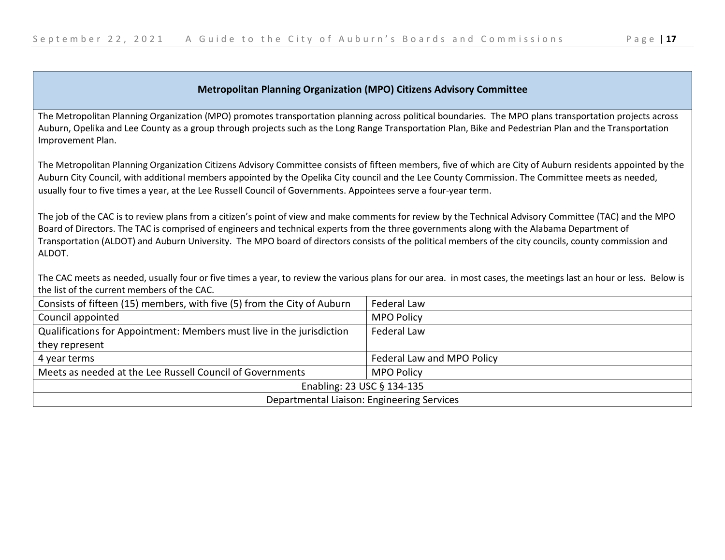## **Metropolitan Planning Organization (MPO) Citizens Advisory Committee**

The Metropolitan Planning Organization (MPO) promotes transportation planning across political boundaries. The MPO plans transportation projects across Auburn, Opelika and Lee County as a group through projects such as the Long Range Transportation Plan, Bike and Pedestrian Plan and the Transportation Improvement Plan.

The Metropolitan Planning Organization Citizens Advisory Committee consists of fifteen members, five of which are City of Auburn residents appointed by the Auburn City Council, with additional members appointed by the Opelika City council and the Lee County Commission. The Committee meets as needed, usually four to five times a year, at the Lee Russell Council of Governments. Appointees serve a four-year term.

The job of the CAC is to review plans from a citizen's point of view and make comments for review by the Technical Advisory Committee (TAC) and the MPO Board of Directors. The TAC is comprised of engineers and technical experts from the three governments along with the Alabama Department of Transportation (ALDOT) and Auburn University. The MPO board of directors consists of the political members of the city councils, county commission and ALDOT.

The CAC meets as needed, usually four or five times a year, to review the various plans for our area. in most cases, the meetings last an hour or less. Below is the list of the current members of the CAC.

| Consists of fifteen (15) members, with five (5) from the City of Auburn | Federal Law                |
|-------------------------------------------------------------------------|----------------------------|
| Council appointed                                                       | <b>MPO Policy</b>          |
| Qualifications for Appointment: Members must live in the jurisdiction   | <b>Federal Law</b>         |
| they represent                                                          |                            |
| 4 year terms                                                            | Federal Law and MPO Policy |
| Meets as needed at the Lee Russell Council of Governments               | <b>MPO Policy</b>          |
| Enabling: 23 USC § 134-135                                              |                            |
| Departmental Liaison: Engineering Services                              |                            |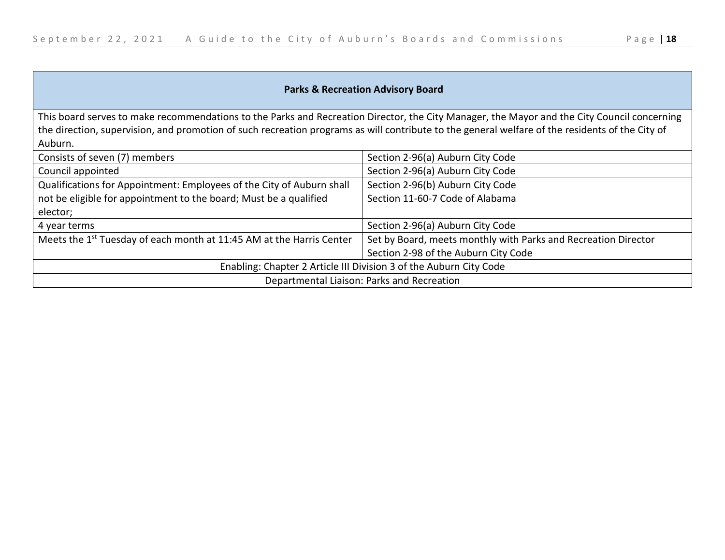| <b>Parks &amp; Recreation Advisory Board</b>                                                                                                                                                                                                                                                              |                                                                |
|-----------------------------------------------------------------------------------------------------------------------------------------------------------------------------------------------------------------------------------------------------------------------------------------------------------|----------------------------------------------------------------|
| This board serves to make recommendations to the Parks and Recreation Director, the City Manager, the Mayor and the City Council concerning<br>the direction, supervision, and promotion of such recreation programs as will contribute to the general welfare of the residents of the City of<br>Auburn. |                                                                |
| Consists of seven (7) members                                                                                                                                                                                                                                                                             | Section 2-96(a) Auburn City Code                               |
| Council appointed                                                                                                                                                                                                                                                                                         | Section 2-96(a) Auburn City Code                               |
| Qualifications for Appointment: Employees of the City of Auburn shall                                                                                                                                                                                                                                     | Section 2-96(b) Auburn City Code                               |
| not be eligible for appointment to the board; Must be a qualified<br>elector;                                                                                                                                                                                                                             | Section 11-60-7 Code of Alabama                                |
| 4 year terms                                                                                                                                                                                                                                                                                              | Section 2-96(a) Auburn City Code                               |
| Meets the 1 <sup>st</sup> Tuesday of each month at 11:45 AM at the Harris Center                                                                                                                                                                                                                          | Set by Board, meets monthly with Parks and Recreation Director |
|                                                                                                                                                                                                                                                                                                           | Section 2-98 of the Auburn City Code                           |
| Enabling: Chapter 2 Article III Division 3 of the Auburn City Code                                                                                                                                                                                                                                        |                                                                |
| Departmental Liaison: Parks and Recreation                                                                                                                                                                                                                                                                |                                                                |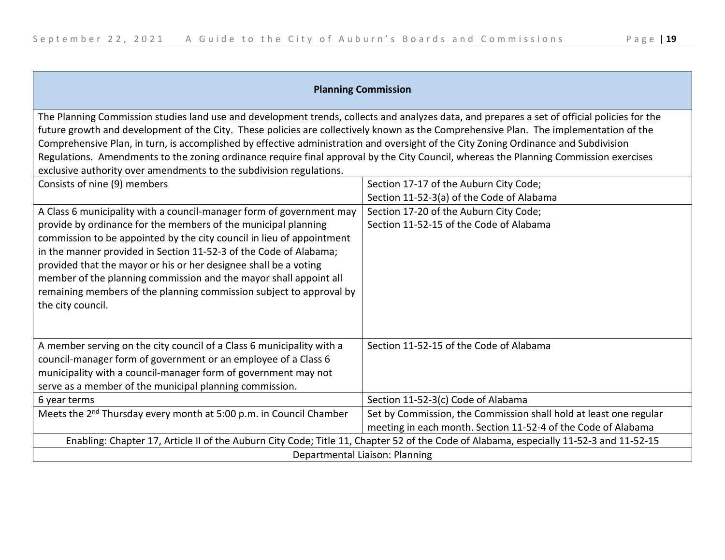| <b>Planning Commission</b>                                                                                                                                                                                                                                                                                                                                                                                                                                                                                                                                                                                                                   |                                                                                                                                    |
|----------------------------------------------------------------------------------------------------------------------------------------------------------------------------------------------------------------------------------------------------------------------------------------------------------------------------------------------------------------------------------------------------------------------------------------------------------------------------------------------------------------------------------------------------------------------------------------------------------------------------------------------|------------------------------------------------------------------------------------------------------------------------------------|
| The Planning Commission studies land use and development trends, collects and analyzes data, and prepares a set of official policies for the<br>future growth and development of the City. These policies are collectively known as the Comprehensive Plan. The implementation of the<br>Comprehensive Plan, in turn, is accomplished by effective administration and oversight of the City Zoning Ordinance and Subdivision<br>Regulations. Amendments to the zoning ordinance require final approval by the City Council, whereas the Planning Commission exercises<br>exclusive authority over amendments to the subdivision regulations. |                                                                                                                                    |
| Consists of nine (9) members                                                                                                                                                                                                                                                                                                                                                                                                                                                                                                                                                                                                                 | Section 17-17 of the Auburn City Code;                                                                                             |
|                                                                                                                                                                                                                                                                                                                                                                                                                                                                                                                                                                                                                                              | Section 11-52-3(a) of the Code of Alabama                                                                                          |
| A Class 6 municipality with a council-manager form of government may                                                                                                                                                                                                                                                                                                                                                                                                                                                                                                                                                                         | Section 17-20 of the Auburn City Code;                                                                                             |
| provide by ordinance for the members of the municipal planning<br>commission to be appointed by the city council in lieu of appointment<br>in the manner provided in Section 11-52-3 of the Code of Alabama;<br>provided that the mayor or his or her designee shall be a voting<br>member of the planning commission and the mayor shall appoint all<br>remaining members of the planning commission subject to approval by<br>the city council.                                                                                                                                                                                            | Section 11-52-15 of the Code of Alabama                                                                                            |
| A member serving on the city council of a Class 6 municipality with a<br>council-manager form of government or an employee of a Class 6<br>municipality with a council-manager form of government may not<br>serve as a member of the municipal planning commission.                                                                                                                                                                                                                                                                                                                                                                         | Section 11-52-15 of the Code of Alabama                                                                                            |
| 6 year terms                                                                                                                                                                                                                                                                                                                                                                                                                                                                                                                                                                                                                                 | Section 11-52-3(c) Code of Alabama                                                                                                 |
| Meets the 2 <sup>nd</sup> Thursday every month at 5:00 p.m. in Council Chamber                                                                                                                                                                                                                                                                                                                                                                                                                                                                                                                                                               | Set by Commission, the Commission shall hold at least one regular<br>meeting in each month. Section 11-52-4 of the Code of Alabama |
| Enabling: Chapter 17, Article II of the Auburn City Code; Title 11, Chapter 52 of the Code of Alabama, especially 11-52-3 and 11-52-15                                                                                                                                                                                                                                                                                                                                                                                                                                                                                                       |                                                                                                                                    |
| Departmental Liaison: Planning                                                                                                                                                                                                                                                                                                                                                                                                                                                                                                                                                                                                               |                                                                                                                                    |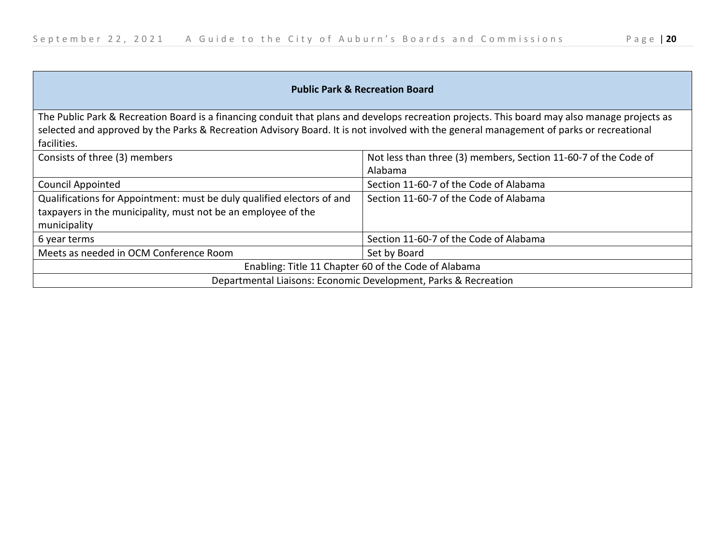$\overline{\phantom{a}}$ 

| <b>Public Park &amp; Recreation Board</b>                                                                                                                                                                                                                                                               |                                                                            |
|---------------------------------------------------------------------------------------------------------------------------------------------------------------------------------------------------------------------------------------------------------------------------------------------------------|----------------------------------------------------------------------------|
| The Public Park & Recreation Board is a financing conduit that plans and develops recreation projects. This board may also manage projects as<br>selected and approved by the Parks & Recreation Advisory Board. It is not involved with the general management of parks or recreational<br>facilities. |                                                                            |
| Consists of three (3) members                                                                                                                                                                                                                                                                           | Not less than three (3) members, Section 11-60-7 of the Code of<br>Alabama |
| <b>Council Appointed</b>                                                                                                                                                                                                                                                                                | Section 11-60-7 of the Code of Alabama                                     |
| Qualifications for Appointment: must be duly qualified electors of and<br>taxpayers in the municipality, must not be an employee of the<br>municipality                                                                                                                                                 | Section 11-60-7 of the Code of Alabama                                     |
| 6 year terms                                                                                                                                                                                                                                                                                            | Section 11-60-7 of the Code of Alabama                                     |
| Meets as needed in OCM Conference Room                                                                                                                                                                                                                                                                  | Set by Board                                                               |
| Enabling: Title 11 Chapter 60 of the Code of Alabama                                                                                                                                                                                                                                                    |                                                                            |
| Departmental Liaisons: Economic Development, Parks & Recreation                                                                                                                                                                                                                                         |                                                                            |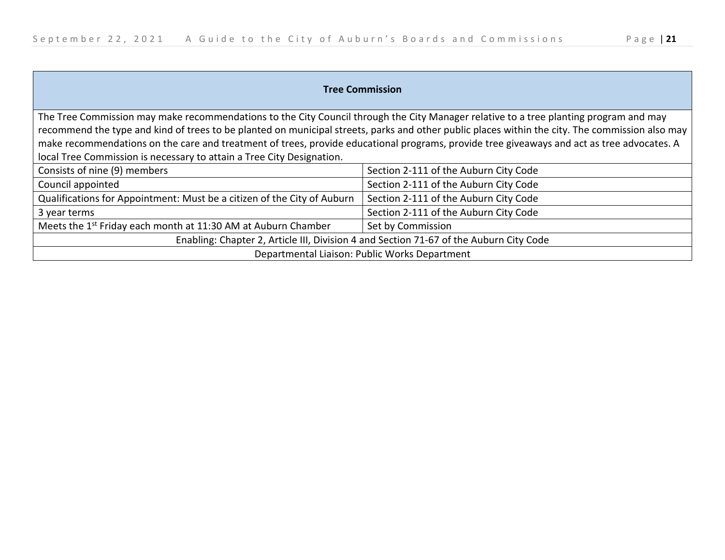| <b>Tree Commission</b>                                                                                                                          |                                       |
|-------------------------------------------------------------------------------------------------------------------------------------------------|---------------------------------------|
| The Tree Commission may make recommendations to the City Council through the City Manager relative to a tree planting program and may           |                                       |
| recommend the type and kind of trees to be planted on municipal streets, parks and other public places within the city. The commission also may |                                       |
| make recommendations on the care and treatment of trees, provide educational programs, provide tree giveaways and act as tree advocates. A      |                                       |
| local Tree Commission is necessary to attain a Tree City Designation.                                                                           |                                       |
| Consists of nine (9) members                                                                                                                    | Section 2-111 of the Auburn City Code |
| Council appointed                                                                                                                               | Section 2-111 of the Auburn City Code |
| Qualifications for Appointment: Must be a citizen of the City of Auburn                                                                         | Section 2-111 of the Auburn City Code |
| 3 year terms                                                                                                                                    | Section 2-111 of the Auburn City Code |
| Meets the 1 <sup>st</sup> Friday each month at 11:30 AM at Auburn Chamber                                                                       | Set by Commission                     |
| Enabling: Chapter 2, Article III, Division 4 and Section 71-67 of the Auburn City Code                                                          |                                       |
| Departmental Liaison: Public Works Department                                                                                                   |                                       |